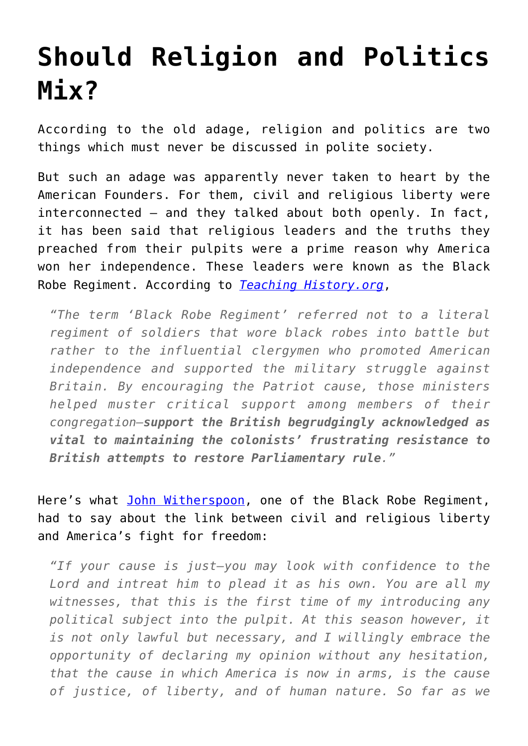## **[Should Religion and Politics](https://intellectualtakeout.org/2015/09/should-religion-and-politics-mix/) [Mix?](https://intellectualtakeout.org/2015/09/should-religion-and-politics-mix/)**

According to the old adage, religion and politics are two things which must never be discussed in polite society.

But such an adage was apparently never taken to heart by the American Founders. For them, civil and religious liberty were interconnected – and they talked about both openly. In fact, it has been said that religious leaders and the truths they preached from their pulpits were a prime reason why America won her independence. These leaders were known as the Black Robe Regiment. According to *[Teaching History.org](http://teachinghistory.org/history-content/ask-a-historian/24635)*,

*"The term 'Black Robe Regiment' referred not to a literal regiment of soldiers that wore black robes into battle but rather to the influential clergymen who promoted American independence and supported the military struggle against Britain. By encouraging the Patriot cause, those ministers helped muster critical support among members of their congregation—support the British begrudgingly acknowledged as vital to maintaining the colonists' frustrating resistance to British attempts to restore Parliamentary rule."*

Here's what [John Witherspoon](http://oll.libertyfund.org/titles/816), one of the Black Robe Regiment, had to say about the link between civil and religious liberty and America's fight for freedom:

*"If your cause is just—you may look with confidence to the Lord and intreat him to plead it as his own. You are all my witnesses, that this is the first time of my introducing any political subject into the pulpit. At this season however, it is not only lawful but necessary, and I willingly embrace the opportunity of declaring my opinion without any hesitation, that the cause in which America is now in arms, is the cause of justice, of liberty, and of human nature. So far as we*